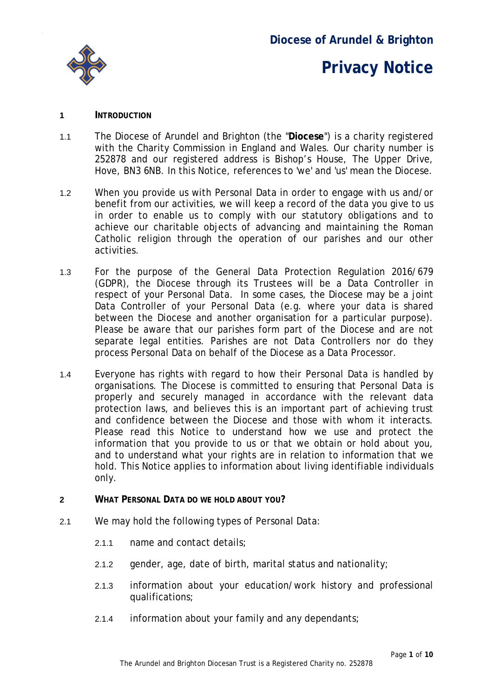

### **Diocese of Arundel & Brighton**

# **Privacy Notice**

#### **1 INTRODUCTION**

- 1.1 The Diocese of Arundel and Brighton (the "**Diocese**") is a charity registered with the Charity Commission in England and Wales. Our charity number is 252878 and our registered address is Bishop's House, The Upper Drive, Hove, BN3 6NB. In this Notice, references to 'we' and 'us' mean the Diocese.
- 1.2 When you provide us with Personal Data in order to engage with us and/or benefit from our activities, we will keep a record of the data you give to us in order to enable us to comply with our statutory obligations and to achieve our charitable objects of advancing and maintaining the Roman Catholic religion through the operation of our parishes and our other activities.
- 1.3 For the purpose of the General Data Protection Regulation 2016/679 (GDPR), the Diocese through its Trustees will be a Data Controller in respect of your Personal Data. In some cases, the Diocese may be a joint Data Controller of your Personal Data (e.g. where your data is shared between the Diocese and another organisation for a particular purpose). Please be aware that our parishes form part of the Diocese and are not separate legal entities. Parishes are not Data Controllers nor do they process Personal Data on behalf of the Diocese as a Data Processor.
- 1.4 Everyone has rights with regard to how their Personal Data is handled by organisations. The Diocese is committed to ensuring that Personal Data is properly and securely managed in accordance with the relevant data protection laws, and believes this is an important part of achieving trust and confidence between the Diocese and those with whom it interacts. Please read this Notice to understand how we use and protect the information that you provide to us or that we obtain or hold about you, and to understand what your rights are in relation to information that we hold. This Notice applies to information about living identifiable individuals only.
- **2 WHAT PERSONAL DATA DO WE HOLD ABOUT YOU?**
- 2.1 We may hold the following types of Personal Data:
	- 2.1.1 name and contact details;
	- 2.1.2 gender, age, date of birth, marital status and nationality;
	- 2.1.3 information about your education/work history and professional qualifications;
	- 2.1.4 information about your family and any dependants;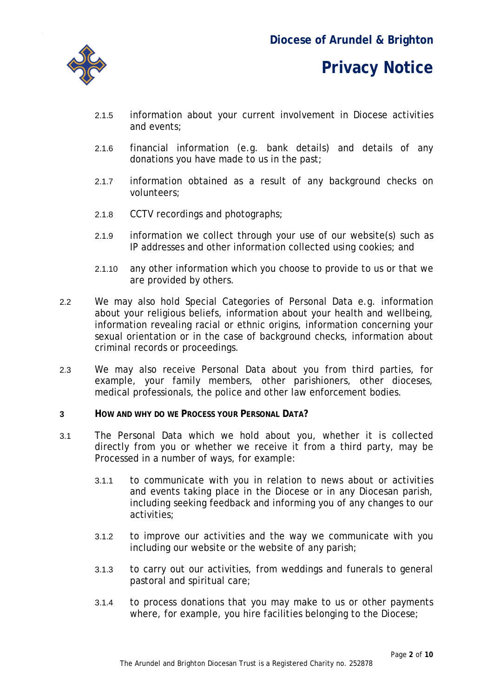- 2.1.5 information about your current involvement in Diocese activities and events;
- 2.1.6 financial information (e.g. bank details) and details of any donations you have made to us in the past;
- 2.1.7 information obtained as a result of any background checks on volunteers;
- 2.1.8 CCTV recordings and photographs;
- 2.1.9 information we collect through your use of our website(s) such as IP addresses and other information collected using cookies; and
- 2.1.10 any other information which you choose to provide to us or that we are provided by others.
- 2.2 We may also hold Special Categories of Personal Data e.g. information about your religious beliefs, information about your health and wellbeing, information revealing racial or ethnic origins, information concerning your sexual orientation or in the case of background checks, information about criminal records or proceedings.
- 2.3 We may also receive Personal Data about you from third parties, for example, your family members, other parishioners, other dioceses, medical professionals, the police and other law enforcement bodies.
- **3 HOW AND WHY DO WE PROCESS YOUR PERSONAL DATA?**
- 3.1 The Personal Data which we hold about you, whether it is collected directly from you or whether we receive it from a third party, may be Processed in a number of ways, for example:
	- 3.1.1 to communicate with you in relation to news about or activities and events taking place in the Diocese or in any Diocesan parish, including seeking feedback and informing you of any changes to our activities;
	- 3.1.2 to improve our activities and the way we communicate with you including our website or the website of any parish;
	- 3.1.3 to carry out our activities, from weddings and funerals to general pastoral and spiritual care;
	- 3.1.4 to process donations that you may make to us or other payments where, for example, you hire facilities belonging to the Diocese;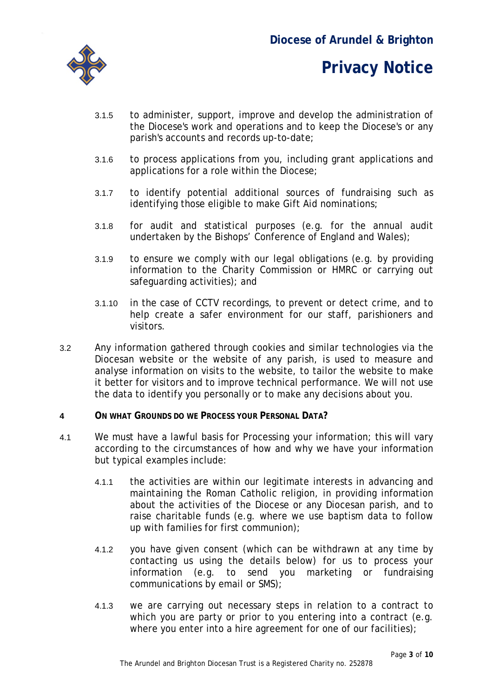- 3.1.5 to administer, support, improve and develop the administration of the Diocese's work and operations and to keep the Diocese's or any parish's accounts and records up-to-date;
- 3.1.6 to process applications from you, including grant applications and applications for a role within the Diocese;
- 3.1.7 to identify potential additional sources of fundraising such as identifying those eligible to make Gift Aid nominations;
- 3.1.8 for audit and statistical purposes (e.g. for the annual audit undertaken by the Bishops' Conference of England and Wales);
- 3.1.9 to ensure we comply with our legal obligations (e.g. by providing information to the Charity Commission or HMRC or carrying out safeguarding activities); and
- 3.1.10 in the case of CCTV recordings, to prevent or detect crime, and to help create a safer environment for our staff, parishioners and visitors.
- 3.2 Any information gathered through cookies and similar technologies via the Diocesan website or the website of any parish, is used to measure and analyse information on visits to the website, to tailor the website to make it better for visitors and to improve technical performance. We will not use the data to identify you personally or to make any decisions about you.
- **4 ON WHAT GROUNDS DO WE PROCESS YOUR PERSONAL DATA?**
- 4.1 We must have a lawful basis for Processing your information; this will vary according to the circumstances of how and why we have your information but typical examples include:
	- 4.1.1 the activities are within our legitimate interests in advancing and maintaining the Roman Catholic religion, in providing information about the activities of the Diocese or any Diocesan parish, and to raise charitable funds (e.g. where we use baptism data to follow up with families for first communion);
	- 4.1.2 you have given consent (which can be withdrawn at any time by contacting us using the details below) for us to process your information (e.g. to send you marketing or fundraising communications by email or SMS);
	- 4.1.3 we are carrying out necessary steps in relation to a contract to which you are party or prior to you entering into a contract (e.g. where you enter into a hire agreement for one of our facilities);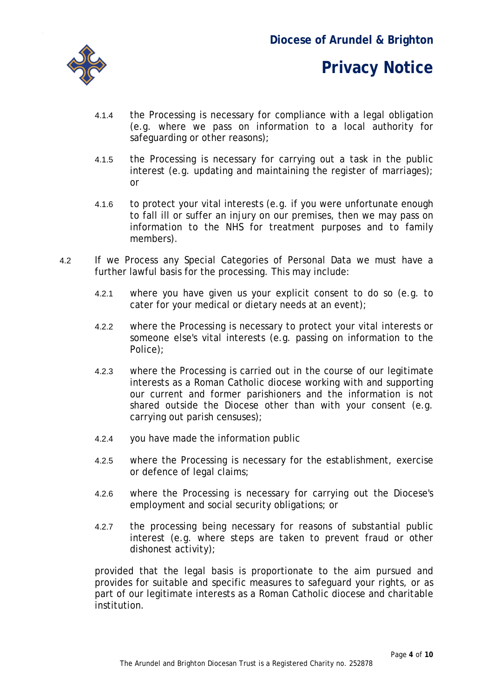

- 4.1.4 the Processing is necessary for compliance with a legal obligation (e.g. where we pass on information to a local authority for safeguarding or other reasons);
- 4.1.5 the Processing is necessary for carrying out a task in the public interest (e.g. updating and maintaining the register of marriages); or
- 4.1.6 to protect your vital interests (e.g. if you were unfortunate enough to fall ill or suffer an injury on our premises, then we may pass on information to the NHS for treatment purposes and to family members).
- 4.2 If we Process any Special Categories of Personal Data we must have a further lawful basis for the processing. This may include:
	- 4.2.1 where you have given us your explicit consent to do so (e.g. to cater for your medical or dietary needs at an event);
	- 4.2.2 where the Processing is necessary to protect your vital interests or someone else's vital interests (e.g. passing on information to the Police);
	- 4.2.3 where the Processing is carried out in the course of our legitimate interests as a Roman Catholic diocese working with and supporting our current and former parishioners and the information is not shared outside the Diocese other than with your consent (e.g. carrying out parish censuses);
	- 4.2.4 you have made the information public
	- 4.2.5 where the Processing is necessary for the establishment, exercise or defence of legal claims;
	- 4.2.6 where the Processing is necessary for carrying out the Diocese's employment and social security obligations; or
	- 4.2.7 the processing being necessary for reasons of substantial public interest (e.g. where steps are taken to prevent fraud or other dishonest activity);

provided that the legal basis is proportionate to the aim pursued and provides for suitable and specific measures to safeguard your rights, or as part of our legitimate interests as a Roman Catholic diocese and charitable institution.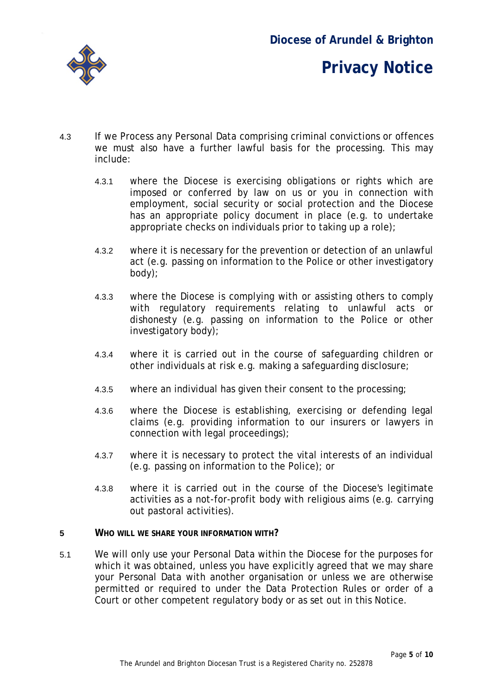

- 4.3 If we Process any Personal Data comprising criminal convictions or offences we must also have a further lawful basis for the processing. This may include:
	- 4.3.1 where the Diocese is exercising obligations or rights which are imposed or conferred by law on us or you in connection with employment, social security or social protection and the Diocese has an appropriate policy document in place (e.g. to undertake appropriate checks on individuals prior to taking up a role);
	- 4.3.2 where it is necessary for the prevention or detection of an unlawful act (e.g. passing on information to the Police or other investigatory body);
	- 4.3.3 where the Diocese is complying with or assisting others to comply with regulatory requirements relating to unlawful acts or dishonesty (e.g. passing on information to the Police or other investigatory body);
	- 4.3.4 where it is carried out in the course of safeguarding children or other individuals at risk e.g. making a safeguarding disclosure;
	- 4.3.5 where an individual has given their consent to the processing;
	- 4.3.6 where the Diocese is establishing, exercising or defending legal claims (e.g. providing information to our insurers or lawyers in connection with legal proceedings);
	- 4.3.7 where it is necessary to protect the vital interests of an individual (e.g. passing on information to the Police); or
	- 4.3.8 where it is carried out in the course of the Diocese's legitimate activities as a not-for-profit body with religious aims (e.g. carrying out pastoral activities).
- **5 WHO WILL WE SHARE YOUR INFORMATION WITH?**
- 5.1 We will only use your Personal Data within the Diocese for the purposes for which it was obtained, unless you have explicitly agreed that we may share your Personal Data with another organisation or unless we are otherwise permitted or required to under the Data Protection Rules or order of a Court or other competent regulatory body or as set out in this Notice.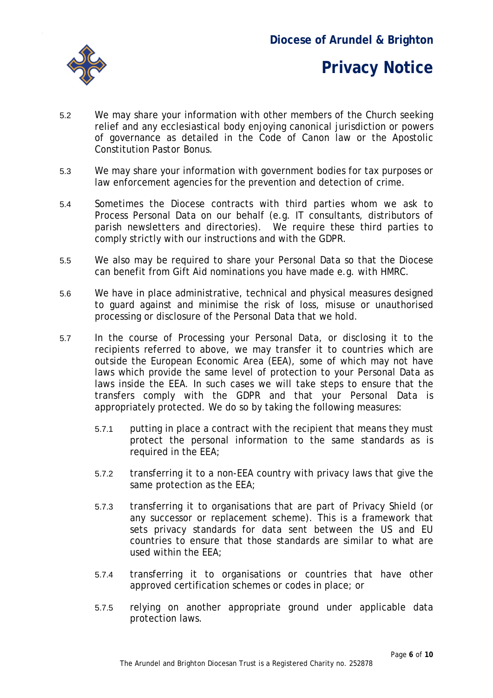

- 5.2 We may share your information with other members of the Church seeking relief and any ecclesiastical body enjoying canonical jurisdiction or powers of governance as detailed in the Code of Canon law or the Apostolic Constitution *Pastor Bonus*.
- 5.3 We may share your information with government bodies for tax purposes or law enforcement agencies for the prevention and detection of crime.
- 5.4 Sometimes the Diocese contracts with third parties whom we ask to Process Personal Data on our behalf (e.g. IT consultants, distributors of parish newsletters and directories). We require these third parties to comply strictly with our instructions and with the GDPR.
- 5.5 We also may be required to share your Personal Data so that the Diocese can benefit from Gift Aid nominations you have made e.g. with HMRC.
- 5.6 We have in place administrative, technical and physical measures designed to guard against and minimise the risk of loss, misuse or unauthorised processing or disclosure of the Personal Data that we hold.
- 5.7 In the course of Processing your Personal Data, or disclosing it to the recipients referred to above, we may transfer it to countries which are outside the European Economic Area (EEA), some of which may not have laws which provide the same level of protection to your Personal Data as laws inside the EEA. In such cases we will take steps to ensure that the transfers comply with the GDPR and that your Personal Data is appropriately protected. We do so by taking the following measures:
	- 5.7.1 putting in place a contract with the recipient that means they must protect the personal information to the same standards as is required in the EEA;
	- 5.7.2 transferring it to a non-EEA country with privacy laws that give the same protection as the EEA;
	- 5.7.3 transferring it to organisations that are part of Privacy Shield (or any successor or replacement scheme). This is a framework that sets privacy standards for data sent between the US and EU countries to ensure that those standards are similar to what are used within the EEA;
	- 5.7.4 transferring it to organisations or countries that have other approved certification schemes or codes in place; or
	- 5.7.5 relying on another appropriate ground under applicable data protection laws.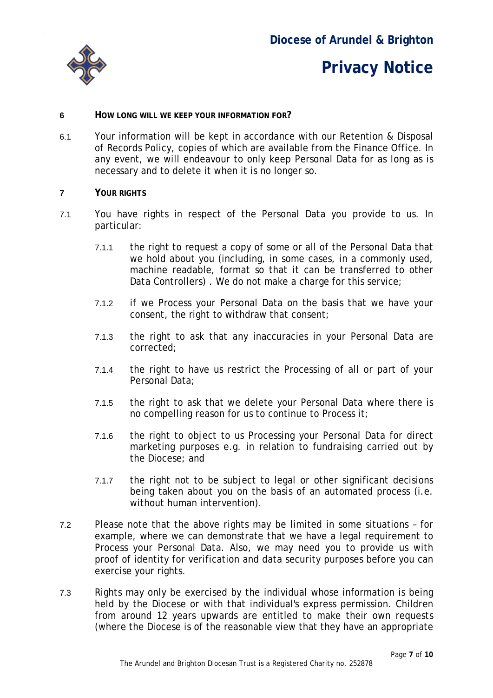

#### **6 HOW LONG WILL WE KEEP YOUR INFORMATION FOR?**

6.1 Your information will be kept in accordance with our Retention & Disposal of Records Policy, copies of which are available from the Finance Office. In any event, we will endeavour to only keep Personal Data for as long as is necessary and to delete it when it is no longer so.

#### **7 YOUR RIGHTS**

- 7.1 You have rights in respect of the Personal Data you provide to us. In particular:
	- 7.1.1 the right to request a copy of some or all of the Personal Data that we hold about you (including, in some cases, in a commonly used, machine readable, format so that it can be transferred to other Data Controllers). We do not make a charge for this service;
	- 7.1.2 if we Process your Personal Data on the basis that we have your consent, the right to withdraw that consent;
	- 7.1.3 the right to ask that any inaccuracies in your Personal Data are corrected;
	- 7.1.4 the right to have us restrict the Processing of all or part of your Personal Data;
	- 7.1.5 the right to ask that we delete your Personal Data where there is no compelling reason for us to continue to Process it;
	- 7.1.6 the right to object to us Processing your Personal Data for direct marketing purposes e.g. in relation to fundraising carried out by the Diocese; and
	- 7.1.7 the right not to be subject to legal or other significant decisions being taken about you on the basis of an automated process (i.e. without human intervention).
- 7.2 Please note that the above rights may be limited in some situations for example, where we can demonstrate that we have a legal requirement to Process your Personal Data. Also, we may need you to provide us with proof of identity for verification and data security purposes before you can exercise your rights.
- 7.3 Rights may only be exercised by the individual whose information is being held by the Diocese or with that individual's express permission. Children from around 12 years upwards are entitled to make their own requests (where the Diocese is of the reasonable view that they have an appropriate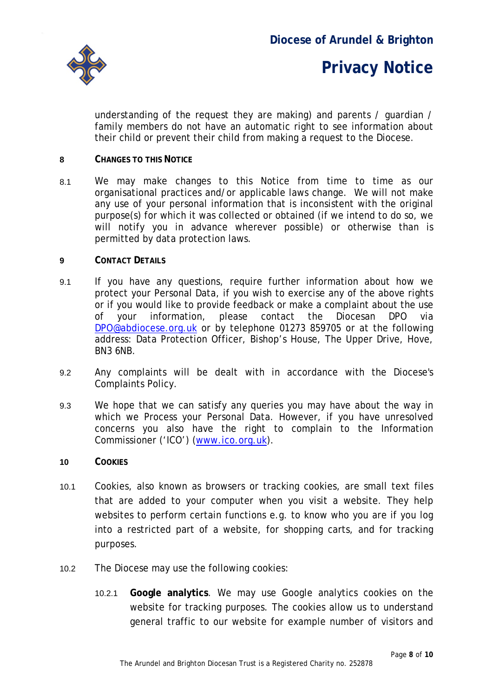

understanding of the request they are making) and parents / guardian / family members do not have an automatic right to see information about their child or prevent their child from making a request to the Diocese.

#### **8 CHANGES TO THIS NOTICE**

8.1 We may make changes to this Notice from time to time as our organisational practices and/or applicable laws change. We will not make any use of your personal information that is inconsistent with the original purpose(s) for which it was collected or obtained (if we intend to do so, we will notify you in advance wherever possible) or otherwise than is permitted by data protection laws.

#### **9 CONTACT DETAILS**

- 9.1 If you have any questions, require further information about how we protect your Personal Data, if you wish to exercise any of the above rights or if you would like to provide feedback or make a complaint about the use of your information, please contact the Diocesan DPO via [DPO@abdiocese.org.uk](mailto:DPO@abdiocese.org.uk) or by telephone 01273 859705 or at the following address: Data Protection Officer, Bishop's House, The Upper Drive, Hove, BN3 6NB.
- 9.2 Any complaints will be dealt with in accordance with the Diocese's Complaints Policy.
- 9.3 We hope that we can satisfy any queries you may have about the way in which we Process your Personal Data. However, if you have unresolved concerns you also have the right to complain to the Information Commissioner ('ICO') [\(www.ico.org.uk\)](http://www.ico.org.uk/).
- **10 COOKIES**
- 10.1 Cookies, also known as browsers or tracking cookies, are small text files that are added to your computer when you visit a website. They help websites to perform certain functions e.g. to know who you are if you log into a restricted part of a website, for shopping carts, and for tracking purposes.
- 10.2 The Diocese may use the following cookies:
	- 10.2.1 **Google analytics**. We may use Google analytics cookies on the website for tracking purposes. The cookies allow us to understand general traffic to our website for example number of visitors and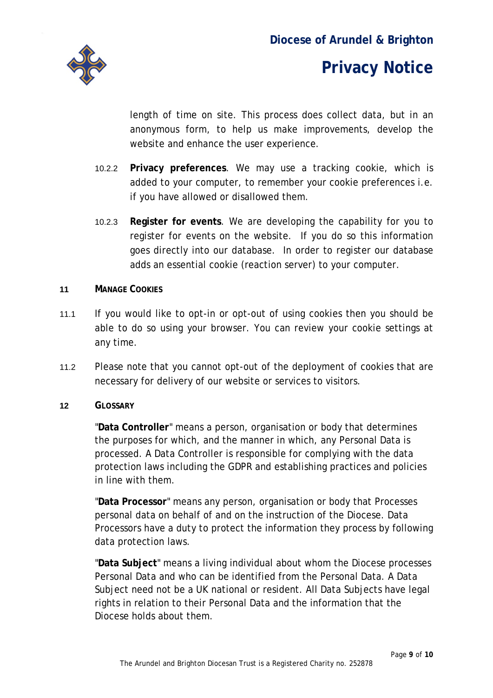

length of time on site. This process does collect data, but in an anonymous form, to help us make improvements, develop the website and enhance the user experience.

- 10.2.2 **Privacy preferences**. We may use a tracking cookie, which is added to your computer, to remember your cookie preferences i.e. if you have allowed or disallowed them.
- 10.2.3 **Register for events**. We are developing the capability for you to register for events on the website. If you do so this information goes directly into our database. In order to register our database adds an essential cookie (reaction server) to your computer.

#### **11 MANAGE COOKIES**

- 11.1 If you would like to opt-in or opt-out of using cookies then you should be able to do so using your browser. You can review your cookie settings at any time.
- 11.2 Please note that you cannot opt-out of the deployment of cookies that are necessary for delivery of our website or services to visitors.

#### **12 GLOSSARY**

"**Data Controller**" means a person, organisation or body that determines the purposes for which, and the manner in which, any Personal Data is processed. A Data Controller is responsible for complying with the data protection laws including the GDPR and establishing practices and policies in line with them.

"**Data Processor**" means any person, organisation or body that Processes personal data on behalf of and on the instruction of the Diocese. Data Processors have a duty to protect the information they process by following data protection laws.

"**Data Subject**" means a living individual about whom the Diocese processes Personal Data and who can be identified from the Personal Data. A Data Subject need not be a UK national or resident. All Data Subjects have legal rights in relation to their Personal Data and the information that the Diocese holds about them.